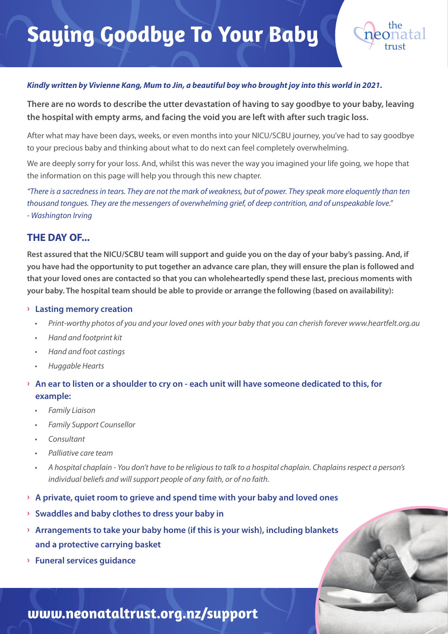

#### *Kindly written by Vivienne Kang, Mum to Jin, a beautiful boy who brought joy into this world in 2021.*

**There are no words to describe the utter devastation of having to say goodbye to your baby, leaving the hospital with empty arms, and facing the void you are left with after such tragic loss.** 

After what may have been days, weeks, or even months into your NICU/SCBU journey, you've had to say goodbye to your precious baby and thinking about what to do next can feel completely overwhelming.

We are deeply sorry for your loss. And, whilst this was never the way you imagined your life going, we hope that the information on this page will help you through this new chapter.

"There is a sacredness in tears. They are not the mark of weakness, but of power. They speak more eloquently than ten thousand tongues. They are the messengers of overwhelming grief, of deep contrition, and of unspeakable love." - Washington Irving

#### **THE DAY OF...**

**Rest assured that the NICU/SCBU team will support and guide you on the day of your baby's passing. And, if you have had the opportunity to put together an advance care plan, they will ensure the plan is followed and that your loved ones are contacted so that you can wholeheartedly spend these last, precious moments with your baby. The hospital team should be able to provide or arrange the following (based on availability):**

#### **› Lasting memory creation**

- Print-worthy photos of you and your loved ones with your baby that you can cherish forever www.heartfelt.org.au
- Hand and footprint kit
- Hand and foot castings
- Huggable Hearts

#### **› An ear to listen or a shoulder to cry on - each unit will have someone dedicated to this, for example:**

- Family Liaison
- Family Support Counsellor
- Consultant
- Palliative care team
- A hospital chaplain You don't have to be religious to talk to a hospital chaplain. Chaplains respect a person's individual beliefs and will support people of any faith, or of no faith.
- **› A private, quiet room to grieve and spend time with your baby and loved ones**
- **› Swaddles and baby clothes to dress your baby in**
- **› Arrangements to take your baby home (if this is your wish), including blankets and a protective carrying basket**
- **› Funeral services guidance**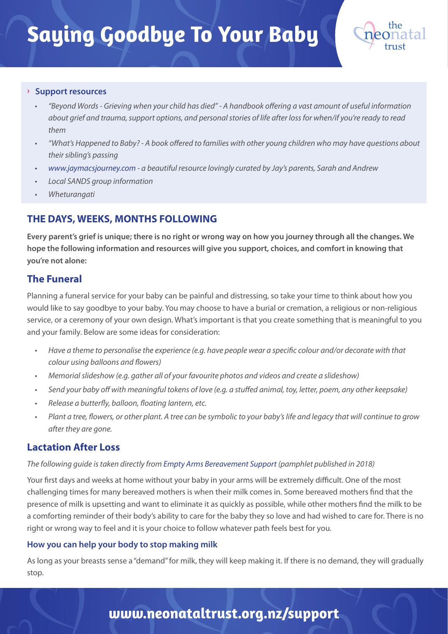

#### **› Support resources**

- "Beyond Words Grieving when your child has died" A handbook off ering a vast amount of useful information about grief and trauma, support options, and personal stories of life after loss for when/if you're ready to read them
- "What's Happened to Baby? A book offered to families with other young children who may have questions about their sibling's passing
- www.jaymacsjourney.com a beautiful resource lovingly curated by Jay's parents, Sarah and Andrew
- Local SANDS group information
- **Wheturangati**

### **THE DAYS, WEEKS, MONTHS FOLLOWING**

**Every parent's grief is unique; there is no right or wrong way on how you journey through all the changes. We hope the following information and resources will give you support, choices, and comfort in knowing that you're not alone:**

### **The Funeral**

Planning a funeral service for your baby can be painful and distressing, so take your time to think about how you would like to say goodbye to your baby. You may choose to have a burial or cremation, a religious or non-religious service, or a ceremony of your own design. What's important is that you create something that is meaningful to you and your family. Below are some ideas for consideration:

- Have a theme to personalise the experience (e.g. have people wear a specific colour and/or decorate with that colour using balloons and flowers)
- Memorial slideshow (e.g. gather all of your favourite photos and videos and create a slideshow)
- Send your baby off with meaningful tokens of love (e.g. a stuffed animal, toy, letter, poem, any other keepsake)
- Release a butterfly, balloon, floating lantern, etc.
- Plant a tree, flowers, or other plant. A tree can be symbolic to your baby's life and legacy that will continue to grow after they are gone.

#### **Lactation After Loss**

#### The following guide is taken directly from Empty Arms Bereavement Support (pamphlet published in 2018)

Your first days and weeks at home without your baby in your arms will be extremely difficult. One of the most challenging times for many bereaved mothers is when their milk comes in. Some bereaved mothers find that the presence of milk is upsetting and want to eliminate it as quickly as possible, while other mothers find the milk to be a comforting reminder of their body's ability to care for the baby they so love and had wished to care for. There is no right or wrong way to feel and it is your choice to follow whatever path feels best for you.

#### **How you can help your body to stop making milk**

As long as your breasts sense a "demand" for milk, they will keep making it. If there is no demand, they will gradually stop.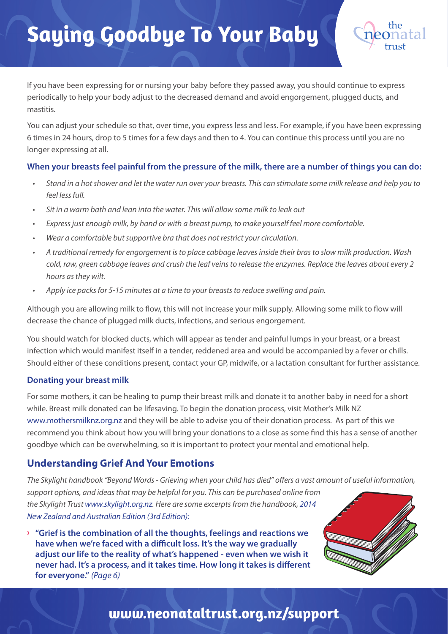

If you have been expressing for or nursing your baby before they passed away, you should continue to express periodically to help your body adjust to the decreased demand and avoid engorgement, plugged ducts, and mastitis.

You can adjust your schedule so that, over time, you express less and less. For example, if you have been expressing 6 times in 24 hours, drop to 5 times for a few days and then to 4. You can continue this process until you are no longer expressing at all.

#### **When your breasts feel painful from the pressure of the milk, there are a number of things you can do:**

- Stand in a hot shower and let the water run over your breasts. This can stimulate some milk release and help you to feel less full.
- Sit in a warm bath and lean into the water. This will allow some milk to leak out
- Express just enough milk, by hand or with a breast pump, to make yourself feel more comfortable.
- Wear a comfortable but supportive bra that does not restrict your circulation.
- A traditional remedy for engorgement is to place cabbage leaves inside their bras to slow milk production. Wash cold, raw, green cabbage leaves and crush the leaf veins to release the enzymes. Replace the leaves about every 2 hours as they wilt.
- Apply ice packs for 5-15 minutes at a time to your breasts to reduce swelling and pain.

Although you are allowing milk to flow, this will not increase your milk supply. Allowing some milk to flow will decrease the chance of plugged milk ducts, infections, and serious engorgement.

You should watch for blocked ducts, which will appear as tender and painful lumps in your breast, or a breast infection which would manifest itself in a tender, reddened area and would be accompanied by a fever or chills. Should either of these conditions present, contact your GP, midwife, or a lactation consultant for further assistance.

#### **Donating your breast milk**

For some mothers, it can be healing to pump their breast milk and donate it to another baby in need for a short while. Breast milk donated can be lifesaving. To begin the donation process, visit Mother's Milk NZ www.mothersmilknz.org.nz and they will be able to advise you of their donation process. As part of this we recommend you think about how you will bring your donations to a close as some find this has a sense of another goodbye which can be overwhelming, so it is important to protect your mental and emotional help.

### **Understanding Grief And Your Emotions**

The Skylight handbook "Beyond Words - Grieving when your child has died" offers a vast amount of useful information, support options, and ideas that may be helpful for you. This can be purchased online from the Skylight Trust www.skylight.org.nz. Here are some excerpts from the handbook, 2014 New Zealand and Australian Edition (3rd Edition):

**› "Grief is the combination of all the thoughts, feelings and reactions we**  have when we're faced with a difficult loss. It's the way we gradually  **adjust our life to the reality of what's happened - even when we wish it**  never had. It's a process, and it takes time. How long it takes is different  **for everyone."** (Page 6)

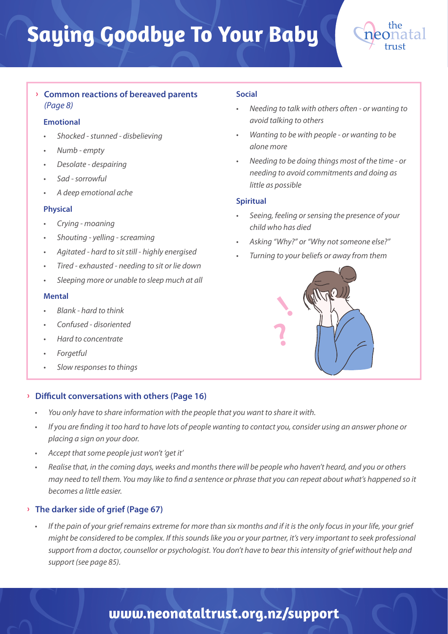

#### **› Common reactions of bereaved parents**  (Page 8)

#### **Emotional**

- Shocked stunned disbelieving
- Numb empty
- Desolate despairing
- Sad sorrowful
- A deep emotional ache

#### **Physical**

- Crying moaning
- Shouting yelling screaming
- Agitated hard to sit still highly energised
- Tired exhausted needing to sit or lie down
- Sleeping more or unable to sleep much at all

#### **Mental**

- Blank hard to think
- Confused disoriented
- Hard to concentrate
- **Forgetful**
- Slow responses to things

#### **EXECUTE:** Difficult conversations with others (Page 16)

- You only have to share information with the people that you want to share it with.
- If you are finding it too hard to have lots of people wanting to contact you, consider using an answer phone or placing a sign on your door.
- Accept that some people just won't 'get it'
- Realise that, in the coming days, weeks and months there will be people who haven't heard, and you or others may need to tell them. You may like to find a sentence or phrase that you can repeat about what's happened so it becomes a little easier.

#### **› The darker side of grief (Page 67)**

• If the pain of your grief remains extreme for more than six months and if it is the only focus in your life, your grief might be considered to be complex. If this sounds like you or your partner, it's very important to seek professional support from a doctor, counsellor or psychologist. You don't have to bear this intensity of grief without help and support (see page 85).

#### **Social**

- Needing to talk with others often or wanting to avoid talking to others
- Wanting to be with people or wanting to be alone more
- Needing to be doing things most of the time or needing to avoid commitments and doing as little as possible

#### **Spiritual**

- Seeing, feeling or sensing the presence of your child who has died
- Asking "Why?" or "Why not someone else?"
- Turning to your beliefs or away from them

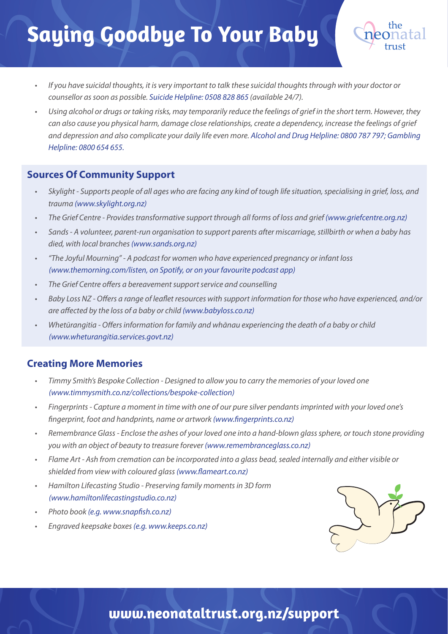- If you have suicidal thoughts, it is very important to talk these suicidal thoughts through with your doctor or counsellor as soon as possible. Suicide Helpline: 0508 828 865 (available 24/7).
- Using alcohol or drugs or taking risks, may temporarily reduce the feelings of grief in the short term. However, they can also cause you physical harm, damage close relationships, create a dependency, increase the feelings of grief and depression and also complicate your daily life even more. Alcohol and Drug Helpline: 0800 787 797; Gambling Helpline: 0800 654 655.

### **Sources Of Community Support**

- Skylight Supports people of all ages who are facing any kind of tough life situation, specialising in grief, loss, and trauma (www.skylight.org.nz)
- The Grief Centre Provides transformative support through all forms of loss and grief (www.griefcentre.org.nz)
- Sands A volunteer, parent-run organisation to support parents after miscarriage, stillbirth or when a baby has died, with local branches (www.sands.org.nz)
- "The Joyful Mourning" A podcast for women who have experienced pregnancy or infant loss (www.themorning.com/listen, on Spotify, or on your favourite podcast app)
- The Grief Centre offers a bereavement support service and counselling
- Baby Loss NZ Offers a range of leaflet resources with support information for those who have experienced, and/or are affected by the loss of a baby or child (www.babyloss.co.nz)
- Whetūrangitia Offers information for family and whānau experiencing the death of a baby or child (www.wheturangitia.services.govt.nz)

### **Creating More Memories**

- Timmy Smith's Bespoke Collection Designed to allow you to carry the memories of your loved one (www.timmysmith.co.nz/collections/bespoke-collection)
- Fingerprints Capture a moment in time with one of our pure silver pendants imprinted with your loved one's fingerprint, foot and handprints, name or artwork (www.fingerprints.co.nz)
- Remembrance Glass Enclose the ashes of your loved one into a hand-blown glass sphere, or touch stone providing you with an object of beauty to treasure forever (www.remembranceglass.co.nz)
- Flame Art Ash from cremation can be incorporated into a glass bead, sealed internally and either visible or shielded from view with coloured glass (www.flameart.co.nz)
- Hamilton Lifecasting Studio Preserving family moments in 3D form (www.hamiltonlifecastingstudio.co.nz)
- Photo book (e.g. www.snapfish.co.nz)
- Engraved keepsake boxes (e.g. www.keeps.co.nz)